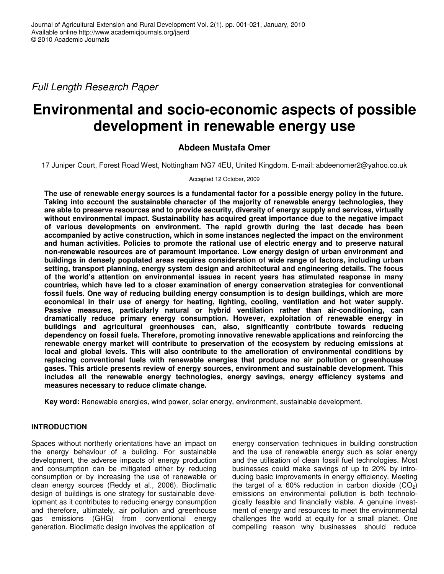*Full Length Research Paper*

# **Environmental and socio-economic aspects of possible development in renewable energy use**

# **Abdeen Mustafa Omer**

17 Juniper Court, Forest Road West, Nottingham NG7 4EU, United Kingdom. E-mail: abdeenomer2@yahoo.co.uk

### Accepted 12 October, 2009

The use of renewable energy sources is a fundamental factor for a possible energy policy in the future. **Taking into account the sustainable character of the majority of renewable energy technologies, they are able to preserve resources and to provide security, diversity of energy supply and services, virtually without environmental impact. Sustainability has acquired great importance due to the negative impact of various developments on environment. The rapid growth during the last decade has been accompanied by active construction, which in some instances neglected the impact on the environment and human activities. Policies to promote the rational use of electric energy and to preserve natural non-renewable resources are of paramount importance. Low energy design of urban environment and buildings in densely populated areas requires consideration of wide range of factors, including urban setting, transport planning, energy system design and architectural and engineering details. The focus of the world's attention on environmental issues in recent years has stimulated response in many countries, which have led to a closer examination of energy conservation strategies for conventional fossil fuels. One way of reducing building energy consumption is to design buildings, which are more economical in their use of energy for heating, lighting, cooling, ventilation and hot water supply. Passive measures, particularly natural or hybrid ventilation rather than air-conditioning, can dramatically reduce primary energy consumption. However, exploitation of renewable energy in buildings and agricultural greenhouses can, also, significantly contribute towards reducing dependency on fossil fuels. Therefore, promoting innovative renewable applications and reinforcing the renewable energy market will contribute to preservation of the ecosystem by reducing emissions at local and global levels. This will also contribute to the amelioration of environmental conditions by replacing conventional fuels with renewable energies that produce no air pollution or greenhouse gases. This article presents review of energy sources, environment and sustainable development. This includes all the renewable energy technologies, energy savings, energy efficiency systems and measures necessary to reduce climate change.**

**Key word:** Renewable energies, wind power, solar energy, environment, sustainable development.

# **INTRODUCTION**

Spaces without northerly orientations have an impact on the energy behaviour of a building. For sustainable development, the adverse impacts of energy production and consumption can be mitigated either by reducing consumption or by increasing the use of renewable or clean energy sources (Reddy et al., 2006). Bioclimatic design of buildings is one strategy for sustainable development as it contributes to reducing energy consumption and therefore, ultimately, air pollution and greenhouse gas emissions (GHG) from conventional energy generation. Bioclimatic design involves the application of

energy conservation techniques in building construction and the use of renewable energy such as solar energy and the utilisation of clean fossil fuel technologies. Most businesses could make savings of up to 20% by introducing basic improvements in energy efficiency. Meeting the target of a 60% reduction in carbon dioxide  $(CO_2)$ emissions on environmental pollution is both technologically feasible and financially viable. A genuine investment of energy and resources to meet the environmental challenges the world at equity for a small planet. One compelling reason why businesses should reduce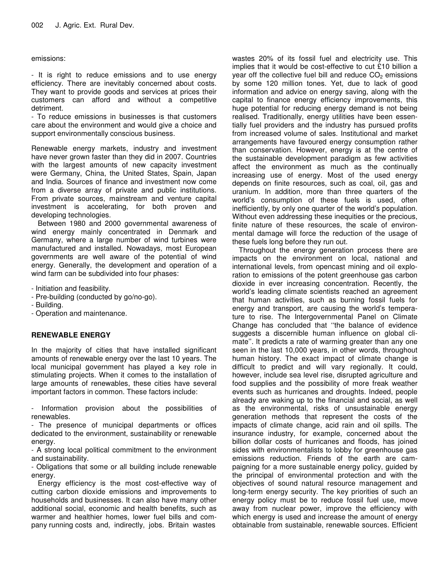emissions:

- It is right to reduce emissions and to use energy efficiency. There are inevitably concerned about costs. They want to provide goods and services at prices their customers can afford and without a competitive detriment.

- To reduce emissions in businesses is that customers care about the environment and would give a choice and support environmentally conscious business.

Renewable energy markets, industry and investment have never grown faster than they did in 2007. Countries with the largest amounts of new capacity investment were Germany, China, the United States, Spain, Japan and India. Sources of finance and investment now come from a diverse array of private and public institutions. From private sources, mainstream and venture capital investment is accelerating, for both proven and developing technologies.

Between 1980 and 2000 governmental awareness of wind energy mainly concentrated in Denmark and Germany, where a large number of wind turbines were manufactured and installed. Nowadays, most European governments are well aware of the potential of wind energy. Generally, the development and operation of a wind farm can be subdivided into four phases:

- Initiation and feasibility.

- Pre-building (conducted by go/no-go).
- Building.
- Operation and maintenance.

# **RENEWABLE ENERGY**

In the majority of cities that have installed significant amounts of renewable energy over the last 10 years. The local municipal government has played a key role in stimulating projects. When it comes to the installation of large amounts of renewables, these cities have several important factors in common. These factors include:

- Information provision about the possibilities of renewables.

- The presence of municipal departments or offices dedicated to the environment, sustainability or renewable energy.

- A strong local political commitment to the environment and sustainability.

- Obligations that some or all building include renewable energy.

Energy efficiency is the most cost-effective way of cutting carbon dioxide emissions and improvements to households and businesses. It can also have many other additional social, economic and health benefits, such as warmer and healthier homes, lower fuel bills and company running costs and, indirectly, jobs. Britain wastes

wastes 20% of its fossil fuel and electricity use. This implies that it would be cost-effective to cut £10 billion a year off the collective fuel bill and reduce  $CO<sub>2</sub>$  emissions by some 120 million tones. Yet, due to lack of good information and advice on energy saving, along with the capital to finance energy efficiency improvements, this huge potential for reducing energy demand is not being realised. Traditionally, energy utilities have been essentially fuel providers and the industry has pursued profits from increased volume of sales. Institutional and market arrangements have favoured energy consumption rather than conservation. However, energy is at the centre of the sustainable development paradigm as few activities affect the environment as much as the continually increasing use of energy. Most of the used energy depends on finite resources, such as coal, oil, gas and uranium. In addition, more than three quarters of the world's consumption of these fuels is used, often inefficiently, by only one quarter of the world's population. Without even addressing these inequities or the precious, finite nature of these resources, the scale of environmental damage will force the reduction of the usage of these fuels long before they run out.

Throughout the energy generation process there are impacts on the environment on local, national and international levels, from opencast mining and oil exploration to emissions of the potent greenhouse gas carbon dioxide in ever increasing concentration. Recently, the world's leading climate scientists reached an agreement that human activities, such as burning fossil fuels for energy and transport, are causing the world's temperature to rise. The Intergovernmental Panel on Climate Change has concluded that ''the balance of evidence suggests a discernible human influence on global climate''. It predicts a rate of warming greater than any one seen in the last 10,000 years, in other words, throughout human history. The exact impact of climate change is difficult to predict and will vary regionally. It could, however, include sea level rise, disrupted agriculture and food supplies and the possibility of more freak weather events such as hurricanes and droughts. Indeed, people already are waking up to the financial and social, as well as the environmental, risks of unsustainable energy generation methods that represent the costs of the impacts of climate change, acid rain and oil spills. The insurance industry, for example, concerned about the billion dollar costs of hurricanes and floods, has joined sides with environmentalists to lobby for greenhouse gas emissions reduction. Friends of the earth are campaigning for a more sustainable energy policy, guided by the principal of environmental protection and with the objectives of sound natural resource management and long-term energy security. The key priorities of such an energy policy must be to reduce fossil fuel use, move away from nuclear power, improve the efficiency with which energy is used and increase the amount of energy obtainable from sustainable, renewable sources. Efficient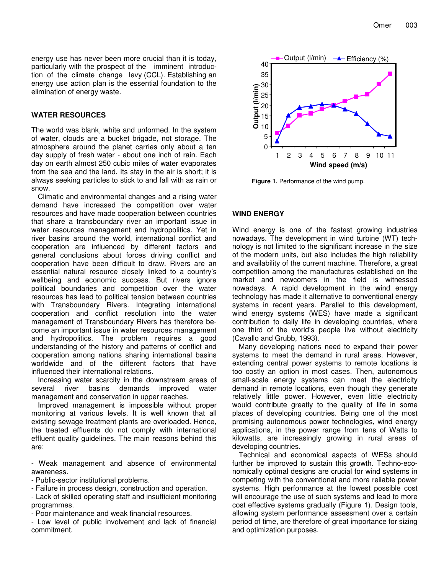energy use has never been more crucial than it is today, particularly with the prospect of the imminent introduction of the climate change levy (CCL). Establishing an energy use action plan is the essential foundation to the elimination of energy waste.

### **WATER RESOURCES**

The world was blank, white and unformed. In the system of water, clouds are a bucket brigade, not storage. The atmosphere around the planet carries only about a ten day supply of fresh water - about one inch of rain. Each day on earth almost 250 cubic miles of water evaporates from the sea and the land. Its stay in the air is short; it is always seeking particles to stick to and fall with as rain or snow.

Climatic and environmental changes and a rising water demand have increased the competition over water resources and have made cooperation between countries that share a transboundary river an important issue in water resources management and hydropolitics. Yet in river basins around the world, international conflict and cooperation are influenced by different factors and general conclusions about forces driving conflict and cooperation have been difficult to draw. Rivers are an essential natural resource closely linked to a country's wellbeing and economic success. But rivers ignore political boundaries and competition over the water resources has lead to political tension between countries with Transboundary Rivers. Integrating international cooperation and conflict resolution into the water management of Transboundary Rivers has therefore become an important issue in water resources management and hydropolitics. The problem requires a good understanding of the history and patterns of conflict and cooperation among nations sharing international basins worldwide and of the different factors that have influenced their international relations.

Increasing water scarcity in the downstream areas of several river basins demands improved water management and conservation in upper reaches.

Improved management is impossible without proper monitoring at various levels. It is well known that all existing sewage treatment plants are overloaded. Hence, the treated effluents do not comply with international effluent quality guidelines. The main reasons behind this are:

- Weak management and absence of environmental awareness.

- Public-sector institutional problems.

- Failure in process design, construction and operation.

- Lack of skilled operating staff and insufficient monitoring programmes.

- Poor maintenance and weak financial resources.

- Low level of public involvement and lack of financial commitment.



**Figure 1.** Performance of the wind pump.

# **WIND ENERGY**

Wind energy is one of the fastest growing industries nowadays. The development in wind turbine (WT) technology is not limited to the significant increase in the size of the modern units, but also includes the high reliability and availability of the current machine. Therefore, a great competition among the manufactures established on the market and newcomers in the field is witnessed nowadays. A rapid development in the wind energy technology has made it alternative to conventional energy systems in recent years. Parallel to this development, wind energy systems (WES) have made a significant contribution to daily life in developing countries, where one third of the world's people live without electricity (Cavallo and Grubb, 1993).

Many developing nations need to expand their power systems to meet the demand in rural areas. However, extending central power systems to remote locations is too costly an option in most cases. Then, autonomous small-scale energy systems can meet the electricity demand in remote locations, even though they generate relatively little power. However, even little electricity would contribute greatly to the quality of life in some places of developing countries. Being one of the most promising autonomous power technologies, wind energy applications, in the power range from tens of Watts to kilowatts, are increasingly growing in rural areas of developing countries.

Technical and economical aspects of WESs should further be improved to sustain this growth. Techno-economically optimal designs are crucial for wind systems in competing with the conventional and more reliable power systems. High performance at the lowest possible cost will encourage the use of such systems and lead to more cost effective systems gradually (Figure 1). Design tools, allowing system performance assessment over a certain period of time, are therefore of great importance for sizing and optimization purposes.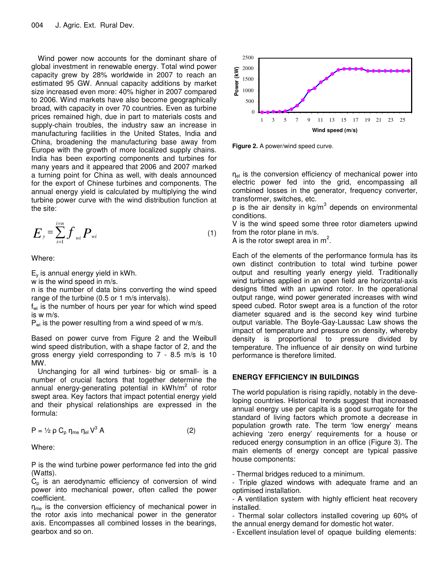Wind power now accounts for the dominant share of global investment in renewable energy. Total wind power capacity grew by 28% worldwide in 2007 to reach an estimated 95 GW. Annual capacity additions by market size increased even more: 40% higher in 2007 compared to 2006. Wind markets have also become geographically broad, with capacity in over 70 countries. Even as turbine prices remained high, due in part to materials costs and supply-chain troubles, the industry saw an increase in manufacturing facilities in the United States, India and China, broadening the manufacturing base away from Europe with the growth of more localized supply chains. India has been exporting components and turbines for many years and it appeared that 2006 and 2007 marked a turning point for China as well, with deals announced for the export of Chinese turbines and components. The annual energy yield is calculated by multiplying the wind turbine power curve with the wind distribution function at the site:

$$
E_y = \sum_{i=1}^{i=n} f_{wi} P_{wi}
$$
 (1)

Where:

 $E_y$  is annual energy yield in kWh.

w is the wind speed in m/s.

n is the number of data bins converting the wind speed range of the turbine (0.5 or 1 m/s intervals).

 $\mathsf{f}_{\mathsf{wi}}$  is the number of hours per year for which wind speed is w m/s.

 $P_{wi}$  is the power resulting from a wind speed of w m/s.

Based on power curve from Figure 2 and the Weibull wind speed distribution, with a shape factor of 2, and the gross energy yield corresponding to 7 - 8.5 m/s is 10 MW.

Unchanging for all wind turbines- big or small- is a number of crucial factors that together determine the annual energy-generating potential in kWh/m<sup>2</sup> of rotor swept area. Key factors that impact potential energy yield and their physical relationships are expressed in the formula:

$$
P = \frac{1}{2} \rho C_p \eta_{\text{me}} \eta_{\text{el}} V^3 A \tag{2}
$$

Where:

P is the wind turbine power performance fed into the grid (Watts).

 $C_p$  is an aerodynamic efficiency of conversion of wind power into mechanical power, often called the power coefficient.

 $\mathsf{n}_{\mathsf{me}}$  is the conversion efficiency of mechanical power in the rotor axis into mechanical power in the generator axis. Encompasses all combined losses in the bearings, gearbox and so on.



**Figure 2.** A power/wind speed curve.

n<sub>el</sub> is the conversion efficiency of mechanical power into electric power fed into the grid, encompassing all combined losses in the generator, frequency converter, transformer, switches, etc.

 $\rho$  is the air density in kg/m<sup>3</sup> depends on environmental conditions.

V is the wind speed some three rotor diameters upwind from the rotor plane in m/s.

A is the rotor swept area in  $m^2$ .

Each of the elements of the performance formula has its own distinct contribution to total wind turbine power output and resulting yearly energy yield. Traditionally wind turbines applied in an open field are horizontal-axis designs fitted with an upwind rotor. In the operational output range, wind power generated increases with wind speed cubed. Rotor swept area is a function of the rotor diameter squared and is the second key wind turbine output variable. The Boyle-Gay-Laussac Law shows the impact of temperature and pressure on density, whereby density is proportional to pressure divided by temperature. The influence of air density on wind turbine performance is therefore limited.

# **ENERGY EFFICIENCY IN BUILDINGS**

The world population is rising rapidly, notably in the developing countries. Historical trends suggest that increased annual energy use per capita is a good surrogate for the standard of living factors which promote a decrease in population growth rate. The term 'low energy' means achieving 'zero energy' requirements for a house or reduced energy consumption in an office (Figure 3). The main elements of energy concept are typical passive house components:

- Thermal bridges reduced to a minimum.
- Triple glazed windows with adequate frame and an optimised installation.
- A ventilation system with highly efficient heat recovery installed.
- Thermal solar collectors installed covering up 60% of the annual energy demand for domestic hot water.
- Excellent insulation level of opaque building elements: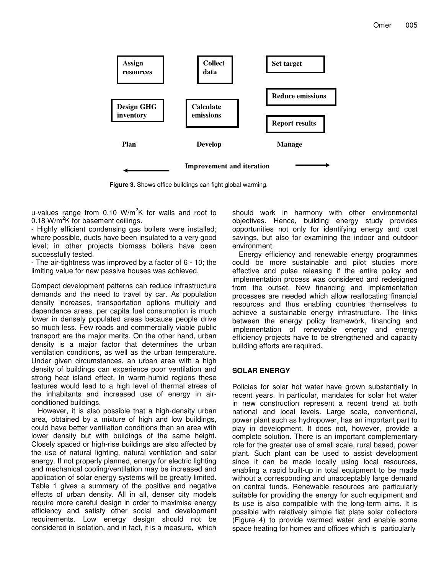

**Figure 3.** Shows office buildings can fight global warming.

u-values range from 0.10 W/m<sup>2</sup>K for walls and roof to 0.18 W/m<sup>2</sup>K for basement ceilings.

- Highly efficient condensing gas boilers were installed; where possible, ducts have been insulated to a very good level; in other projects biomass boilers have been successfully tested.

- The air-tightness was improved by a factor of 6 - 10; the limiting value for new passive houses was achieved.

Compact development patterns can reduce infrastructure demands and the need to travel by car. As population density increases, transportation options multiply and dependence areas, per capita fuel consumption is much lower in densely populated areas because people drive so much less. Few roads and commercially viable public transport are the major merits. On the other hand, urban density is a major factor that determines the urban ventilation conditions, as well as the urban temperature. Under given circumstances, an urban area with a high density of buildings can experience poor ventilation and strong heat island effect. In warm-humid regions these features would lead to a high level of thermal stress of the inhabitants and increased use of energy in airconditioned buildings.

However, it is also possible that a high-density urban area, obtained by a mixture of high and low buildings, could have better ventilation conditions than an area with lower density but with buildings of the same height. Closely spaced or high-rise buildings are also affected by the use of natural lighting, natural ventilation and solar energy. If not properly planned, energy for electric lighting and mechanical cooling/ventilation may be increased and application of solar energy systems will be greatly limited. Table 1 gives a summary of the positive and negative effects of urban density. All in all, denser city models require more careful design in order to maximise energy efficiency and satisfy other social and development requirements. Low energy design should not be considered in isolation, and in fact, it is a measure, which

should work in harmony with other environmental objectives. Hence, building energy study provides opportunities not only for identifying energy and cost savings, but also for examining the indoor and outdoor environment.

Energy efficiency and renewable energy programmes could be more sustainable and pilot studies more effective and pulse releasing if the entire policy and implementation process was considered and redesigned from the outset. New financing and implementation processes are needed which allow reallocating financial resources and thus enabling countries themselves to achieve a sustainable energy infrastructure. The links between the energy policy framework, financing and implementation of renewable energy and energy efficiency projects have to be strengthened and capacity building efforts are required.

# **SOLAR ENERGY**

Policies for solar hot water have grown substantially in recent years. In particular, mandates for solar hot water in new construction represent a recent trend at both national and local levels. Large scale, conventional, power plant such as hydropower, has an important part to play in development. It does not, however, provide a complete solution. There is an important complementary role for the greater use of small scale, rural based, power plant. Such plant can be used to assist development since it can be made locally using local resources, enabling a rapid built-up in total equipment to be made without a corresponding and unacceptably large demand on central funds. Renewable resources are particularly suitable for providing the energy for such equipment and its use is also compatible with the long-term aims. It is possible with relatively simple flat plate solar collectors (Figure 4) to provide warmed water and enable some space heating for homes and offices which is particularly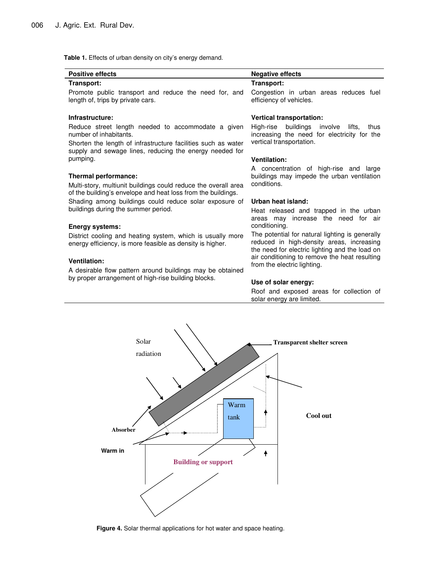**Table 1.** Effects of urban density on city's energy demand.

| <b>Positive effects</b><br><b>Negative effects</b>                                           |                         |
|----------------------------------------------------------------------------------------------|-------------------------|
| Transport:                                                                                   | Transport:              |
| Promote public transport and reduce the need for, and Congestion in urban areas reduces fuel |                         |
| length of, trips by private cars.                                                            | efficiency of vehicles. |

#### **Infrastructure:**

Reduce street length needed to accommodate a given number of inhabitants.

Shorten the length of infrastructure facilities such as water supply and sewage lines, reducing the energy needed for pumping.

### **Thermal performance:**

Multi-story, multiunit buildings could reduce the overall area of the building's envelope and heat loss from the buildings.

Shading among buildings could reduce solar exposure of buildings during the summer period.

### **Energy systems:**

District cooling and heating system, which is usually more energy efficiency, is more feasible as density is higher.

### **Ventilation:**

A desirable flow pattern around buildings may be obtained by proper arrangement of high-rise building blocks.

# efficiency of vehicles.

#### **Vertical transportation:**

High-rise buildings involve lifts, thus increasing the need for electricity for the vertical transportation.

### **Ventilation:**

A concentration of high-rise and large buildings may impede the urban ventilation conditions.

#### **Urban heat island:**

Heat released and trapped in the urban areas may increase the need for air conditioning.

The potential for natural lighting is generally reduced in high-density areas, increasing the need for electric lighting and the load on air conditioning to remove the heat resulting from the electric lighting.

#### **Use of solar energy:**

Roof and exposed areas for collection of solar energy are limited.



**Figure 4.** Solar thermal applications for hot water and space heating.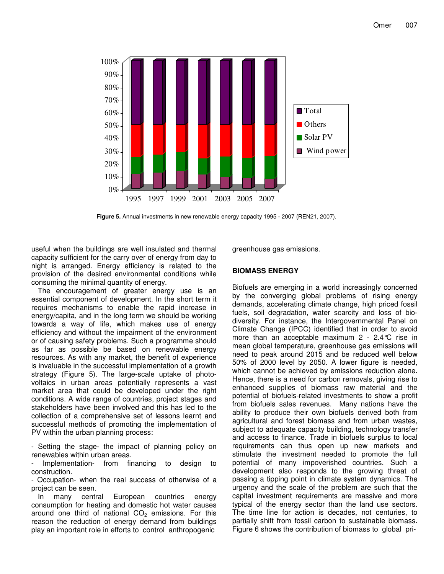

**Figure 5.** Annual investments in new renewable energy capacity 1995 - 2007 (REN21, 2007).

useful when the buildings are well insulated and thermal capacity sufficient for the carry over of energy from day to night is arranged. Energy efficiency is related to the provision of the desired environmental conditions while consuming the minimal quantity of energy.

The encouragement of greater energy use is an essential component of development. In the short term it requires mechanisms to enable the rapid increase in energy/capita, and in the long term we should be working towards a way of life, which makes use of energy efficiency and without the impairment of the environment or of causing safety problems. Such a programme should as far as possible be based on renewable energy resources. As with any market, the benefit of experience is invaluable in the successful implementation of a growth strategy (Figure 5). The large-scale uptake of photovoltaics in urban areas potentially represents a vast market area that could be developed under the right conditions. A wide range of countries, project stages and stakeholders have been involved and this has led to the collection of a comprehensive set of lessons learnt and successful methods of promoting the implementation of PV within the urban planning process:

- Setting the stage- the impact of planning policy on renewables within urban areas.

- Implementation- from financing to design to construction.

- Occupation- when the real success of otherwise of a project can be seen.

In many central European countries energy consumption for heating and domestic hot water causes around one third of national  $CO<sub>2</sub>$  emissions. For this reason the reduction of energy demand from buildings play an important role in efforts to control anthropogenic

greenhouse gas emissions.

### **BIOMASS ENERGY**

Biofuels are emerging in a world increasingly concerned by the converging global problems of rising energy demands, accelerating climate change, high priced fossil fuels, soil degradation, water scarcity and loss of biodiversity. For instance, the Intergovernmental Panel on Climate Change (IPCC) identified that in order to avoid more than an acceptable maximum 2 - 2.4°C rise in mean global temperature, greenhouse gas emissions will need to peak around 2015 and be reduced well below 50% of 2000 level by 2050. A lower figure is needed, which cannot be achieved by emissions reduction alone. Hence, there is a need for carbon removals, giving rise to enhanced supplies of biomass raw material and the potential of biofuels-related investments to show a profit from biofuels sales revenues. Many nations have the ability to produce their own biofuels derived both from agricultural and forest biomass and from urban wastes, subject to adequate capacity building, technology transfer and access to finance. Trade in biofuels surplus to local requirements can thus open up new markets and stimulate the investment needed to promote the full potential of many impoverished countries. Such a development also responds to the growing threat of passing a tipping point in climate system dynamics. The urgency and the scale of the problem are such that the capital investment requirements are massive and more typical of the energy sector than the land use sectors. The time line for action is decades, not centuries, to partially shift from fossil carbon to sustainable biomass. Figure 6 shows the contribution of biomass to global pri-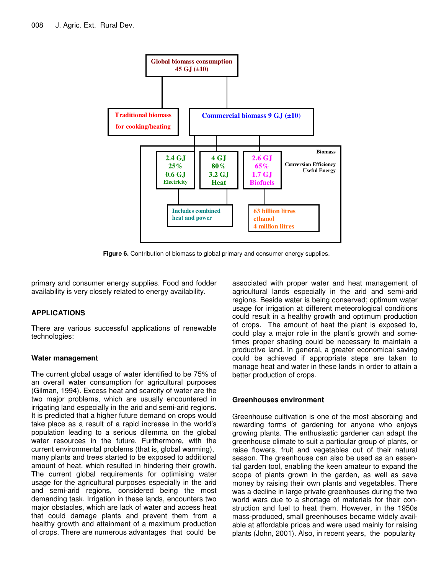

**Figure 6.** Contribution of biomass to global primary and consumer energy supplies.

primary and consumer energy supplies. Food and fodder availability is very closely related to energy availability.

# **APPLICATIONS**

There are various successful applications of renewable technologies:

# **Water management**

The current global usage of water identified to be 75% of an overall water consumption for agricultural purposes (Gilman, 1994). Excess heat and scarcity of water are the two major problems, which are usually encountered in irrigating land especially in the arid and semi-arid regions. It is predicted that a higher future demand on crops would take place as a result of a rapid increase in the world's population leading to a serious dilemma on the global water resources in the future. Furthermore, with the current environmental problems (that is, global warming), many plants and trees started to be exposed to additional amount of heat, which resulted in hindering their growth. The current global requirements for optimising water usage for the agricultural purposes especially in the arid and semi-arid regions, considered being the most demanding task. Irrigation in these lands, encounters two major obstacles, which are lack of water and access heat that could damage plants and prevent them from a healthy growth and attainment of a maximum production of crops. There are numerous advantages that could be

associated with proper water and heat management of agricultural lands especially in the arid and semi-arid regions. Beside water is being conserved; optimum water usage for irrigation at different meteorological conditions could result in a healthy growth and optimum production of crops. The amount of heat the plant is exposed to, could play a major role in the plant's growth and sometimes proper shading could be necessary to maintain a productive land. In general, a greater economical saving could be achieved if appropriate steps are taken to manage heat and water in these lands in order to attain a better production of crops.

# **Greenhouses environment**

Greenhouse cultivation is one of the most absorbing and rewarding forms of gardening for anyone who enjoys growing plants. The enthusiastic gardener can adapt the greenhouse climate to suit a particular group of plants, or raise flowers, fruit and vegetables out of their natural season. The greenhouse can also be used as an essential garden tool, enabling the keen amateur to expand the scope of plants grown in the garden, as well as save money by raising their own plants and vegetables. There was a decline in large private greenhouses during the two world wars due to a shortage of materials for their construction and fuel to heat them. However, in the 1950s mass-produced, small greenhouses became widely available at affordable prices and were used mainly for raising plants (John, 2001). Also, in recent years, the popularity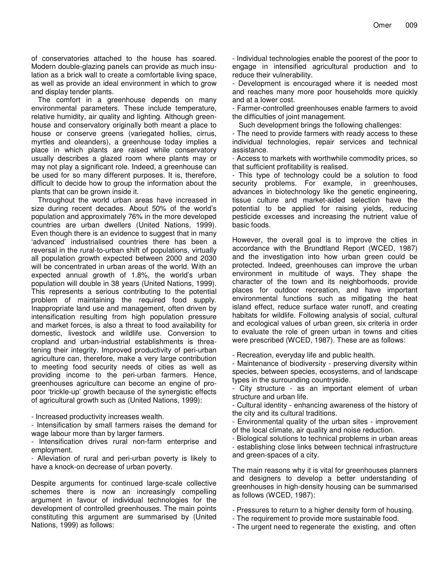of conservatories attached to the house has soared. Modern double-glazing panels can provide as much insulation as a brick wall to create a comfortable living space, as well as provide an ideal environment in which to grow and display tender plants.

The comfort in a greenhouse depends on many environmental parameters. These include temperature, relative humidity, air quality and lighting. Although greenhouse and conservatory originally both meant a place to house or conserve greens (variegated hollies, cirrus, myrtles and oleanders), a greenhouse today implies a place in which plants are raised while conservatory usually describes a glazed room where plants may or may not play a significant role. Indeed, a greenhouse can be used for so many different purposes. It is, therefore, difficult to decide how to group the information about the plants that can be grown inside it.

Throughout the world urban areas have increased in size during recent decades. About 50% of the world's population and approximately 76% in the more developed countries are urban dwellers (United Nations, 1999). Even though there is an evidence to suggest that in many 'advanced' industrialised countries there has been a reversal in the rural-to-urban shift of populations, virtually all population growth expected between 2000 and 2030 will be concentrated in urban areas of the world. With an expected annual growth of 1.8%, the world's urban population will double in 38 years (United Nations, 1999). This represents a serious contributing to the potential problem of maintaining the required food supply. Inappropriate land use and management, often driven by intensification resulting from high population pressure and market forces, is also a threat to food availability for domestic, livestock and wildlife use. Conversion to cropland and urban-industrial establishments is threatening their integrity. Improved productivity of peri-urban agriculture can, therefore, make a very large contribution to meeting food security needs of cities as well as providing income to the peri-urban farmers. Hence, greenhouses agriculture can become an engine of propoor 'trickle-up' growth because of the synergistic effects of agricultural growth such as (United Nations, 1999):

- Increased productivity increases wealth.

- Intensification by small farmers raises the demand for wage labour more than by larger farmers.

- Intensification drives rural non-farm enterprise and employment.

- Alleviation of rural and peri-urban poverty is likely to have a knock-on decrease of urban poverty.

Despite arguments for continued large-scale collective schemes there is now an increasingly compelling argument in favour of individual technologies for the development of controlled greenhouses. The main points constituting this argument are summarised by (United Nations, 1999) as follows:

- Individual technologies enable the poorest of the poor to engage in intensified agricultural production and to reduce their vulnerability.

- Development is encouraged where it is needed most and reaches many more poor households more quickly and at a lower cost.

- Farmer-controlled greenhouses enable farmers to avoid the difficulties of joint management.

Such development brings the following challenges:

- The need to provide farmers with ready access to these individual technologies, repair services and technical assistance.

- Access to markets with worthwhile commodity prices, so that sufficient profitability is realised.

- This type of technology could be a solution to food security problems. For example, in greenhouses, advances in biotechnology like the genetic engineering, tissue culture and market-aided selection have the potential to be applied for raising yields, reducing pesticide excesses and increasing the nutrient value of basic foods.

However, the overall goal is to improve the cities in accordance with the Brundtland Report (WCED, 1987) and the investigation into how urban green could be protected. Indeed, greenhouses can improve the urban environment in multitude of ways. They shape the character of the town and its neighborhoods, provide places for outdoor recreation, and have important environmental functions such as mitigating the heat island effect, reduce surface water runoff, and creating habitats for wildlife. Following analysis of social, cultural and ecological values of urban green, six criteria in order to evaluate the role of green urban in towns and cities were prescribed (WCED, 1987). These are as follows:

- Recreation, everyday life and public health.

- Maintenance of biodiversity - preserving diversity within species, between species, ecosystems, and of landscape types in the surrounding countryside.

- City structure - as an important element of urban structure and urban life.

- Cultural identity - enhancing awareness of the history of the city and its cultural traditions.

- Environmental quality of the urban sites - improvement of the local climate, air quality and noise reduction.

- Biological solutions to technical problems in urban areas

- establishing close links between technical infrastructure and green-spaces of a city.

The main reasons why it is vital for greenhouses planners and designers to develop a better understanding of greenhouses in high-density housing can be summarised as follows (WCED, 1987):

- Pressures to return to a higher density form of housing.
- The requirement to provide more sustainable food.
- The urgent need to regenerate the existing, and often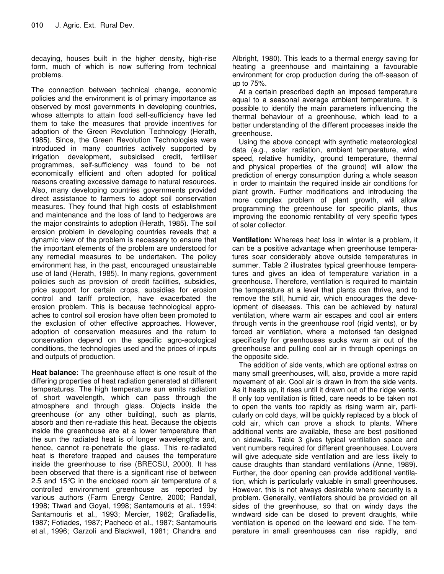decaying, houses built in the higher density, high-rise form, much of which is now suffering from technical problems.

The connection between technical change, economic policies and the environment is of primary importance as observed by most governments in developing countries, whose attempts to attain food self-sufficiency have led them to take the measures that provide incentives for adoption of the Green Revolution Technology (Herath, 1985). Since, the Green Revolution Technologies were introduced in many countries actively supported by irrigation development, subsidised credit, fertiliser programmes, self-sufficiency was found to be not economically efficient and often adopted for political reasons creating excessive damage to natural resources. Also, many developing countries governments provided direct assistance to farmers to adopt soil conservation measures. They found that high costs of establishment and maintenance and the loss of land to hedgerows are the major constraints to adoption (Herath, 1985). The soil erosion problem in developing countries reveals that a dynamic view of the problem is necessary to ensure that the important elements of the problem are understood for any remedial measures to be undertaken. The policy environment has, in the past, encouraged unsustainable use of land (Herath, 1985). In many regions, government policies such as provision of credit facilities, subsidies, price support for certain crops, subsidies for erosion control and tariff protection, have exacerbated the erosion problem. This is because technological approaches to control soil erosion have often been promoted to the exclusion of other effective approaches. However, adoption of conservation measures and the return to conservation depend on the specific agro-ecological conditions, the technologies used and the prices of inputs and outputs of production.

**Heat balance:** The greenhouse effect is one result of the differing properties of heat radiation generated at different temperatures. The high temperature sun emits radiation of short wavelength, which can pass through the atmosphere and through glass. Objects inside the greenhouse (or any other building), such as plants, absorb and then re-radiate this heat. Because the objects inside the greenhouse are at a lower temperature than the sun the radiated heat is of longer wavelengths and, hence, cannot re-penetrate the glass. This re-radiated heat is therefore trapped and causes the temperature inside the greenhouse to rise (BRECSU, 2000). It has been observed that there is a significant rise of between 2.5 and 15°C in the enclosed room air temperature of a controlled environment greenhouse as reported by various authors (Farm Energy Centre, 2000; Randall, 1998; Tiwari and Goyal, 1998; Santamouris et al., 1994; Santamouris et al., 1993; Mercier, 1982; Grafiadellis, 1987; Fotiades, 1987; Pacheco et al., 1987; Santamouris et al., 1996; Garzoli and Blackwell, 1981; Chandra and Albright, 1980). This leads to a thermal energy saving for heating a greenhouse and maintaining a favourable environment for crop production during the off-season of up to 75%.

At a certain prescribed depth an imposed temperature equal to a seasonal average ambient temperature, it is possible to identify the main parameters influencing the thermal behaviour of a greenhouse, which lead to a better understanding of the different processes inside the greenhouse.

Using the above concept with synthetic meteorological data (e.g., solar radiation, ambient temperature, wind speed, relative humidity, ground temperature, thermal and physical properties of the ground) will allow the prediction of energy consumption during a whole season in order to maintain the required inside air conditions for plant growth. Further modifications and introducing the more complex problem of plant growth, will allow programming the greenhouse for specific plants, thus improving the economic rentability of very specific types of solar collector.

**Ventilation:** Whereas heat loss in winter is a problem, it can be a positive advantage when greenhouse temperatures soar considerably above outside temperatures in summer. Table 2 illustrates typical greenhouse temperatures and gives an idea of temperature variation in a greenhouse. Therefore, ventilation is required to maintain the temperature at a level that plants can thrive, and to remove the still, humid air, which encourages the development of diseases. This can be achieved by natural ventilation, where warm air escapes and cool air enters through vents in the greenhouse roof (rigid vents), or by forced air ventilation, where a motorised fan designed specifically for greenhouses sucks warm air out of the greenhouse and pulling cool air in through openings on the opposite side.

The addition of side vents, which are optional extras on many small greenhouses, will, also, provide a more rapid movement of air. Cool air is drawn in from the side vents. As it heats up, it rises until it drawn out of the ridge vents. If only top ventilation is fitted, care needs to be taken not to open the vents too rapidly as rising warm air, particularly on cold days, will be quickly replaced by a block of cold air, which can prove a shock to plants. Where additional vents are available, these are best positioned on sidewalls. Table 3 gives typical ventilation space and vent numbers required for different greenhouses. Louvers will give adequate side ventilation and are less likely to cause draughts than standard ventilations (Anne, 1989). Further, the door opening can provide additional ventilation, which is particularly valuable in small greenhouses. However, this is not always desirable where security is a problem. Generally, ventilators should be provided on all sides of the greenhouse, so that on windy days the windward side can be closed to prevent draughts, while ventilation is opened on the leeward end side. The temperature in small greenhouses can rise rapidly, and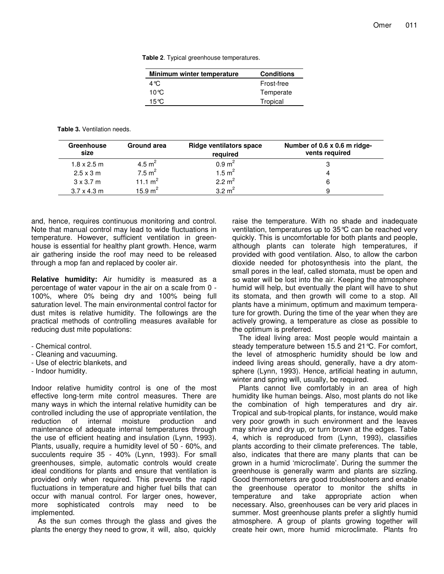**Table 2**. Typical greenhouse temperatures.

| Minimum winter temperature | <b>Conditions</b> |
|----------------------------|-------------------|
| 4 °C                       | Frost-free        |
| 10 °C                      | Temperate         |
| 15°C                       | Tropical          |

**Table 3.** Ventilation needs.

| Greenhouse<br>size         | Ground area       | Ridge ventilators space<br>required | Number of 0.6 x 0.6 m ridge-<br>vents required |
|----------------------------|-------------------|-------------------------------------|------------------------------------------------|
| $1.8 \times 2.5$ m         | 4.5 $m^2$         | 0.9 m <sup>2</sup>                  |                                                |
| $2.5 \times 3$ m           | $7.5 \text{ m}^2$ | 1.5 $m^2$                           | 4                                              |
| $3 \times 3.7$ m           | 11.1 $m^2$        | 2.2 m <sup>2</sup>                  | 6                                              |
| $3.7 \times 4.3 \text{ m}$ | 15.9 $m^2$        | 3.2 $m2$                            | 9                                              |

and, hence, requires continuous monitoring and control. Note that manual control may lead to wide fluctuations in temperature. However, sufficient ventilation in greenhouse is essential for healthy plant growth. Hence, warm air gathering inside the roof may need to be released through a mop fan and replaced by cooler air.

**Relative humidity:** Air humidity is measured as a percentage of water vapour in the air on a scale from 0 - 100%, where 0% being dry and 100% being full saturation level. The main environmental control factor for dust mites is relative humidity. The followings are the practical methods of controlling measures available for reducing dust mite populations:

- Chemical control.
- Cleaning and vacuuming.
- Use of electric blankets, and
- Indoor humidity.

Indoor relative humidity control is one of the most effective long-term mite control measures. There are many ways in which the internal relative humidity can be controlled including the use of appropriate ventilation, the reduction of internal moisture production and maintenance of adequate internal temperatures through the use of efficient heating and insulation (Lynn, 1993). Plants, usually, require a humidity level of 50 - 60%, and succulents require 35 - 40% (Lynn, 1993). For small greenhouses, simple, automatic controls would create ideal conditions for plants and ensure that ventilation is provided only when required. This prevents the rapid fluctuations in temperature and higher fuel bills that can occur with manual control. For larger ones, however, more sophisticated controls may need to be implemented.

As the sun comes through the glass and gives the plants the energy they need to grow, it will, also, quickly

raise the temperature. With no shade and inadequate ventilation, temperatures up to 35°C can be reached very quickly. This is uncomfortable for both plants and people, although plants can tolerate high temperatures, if provided with good ventilation. Also, to allow the carbon dioxide needed for photosynthesis into the plant, the small pores in the leaf, called stomata, must be open and so water will be lost into the air. Keeping the atmosphere humid will help, but eventually the plant will have to shut its stomata, and then growth will come to a stop. All plants have a minimum, optimum and maximum temperature for growth. During the time of the year when they are actively growing, a temperature as close as possible to the optimum is preferred.

The ideal living area: Most people would maintain a steady temperature between 15.5 and 21°C. For comfort, the level of atmospheric humidity should be low and indeed living areas should, generally, have a dry atomsphere (Lynn, 1993). Hence, artificial heating in autumn, winter and spring will, usually, be required.

Plants cannot live comfortably in an area of high humidity like human beings. Also, most plants do not like the combination of high temperatures and dry air. Tropical and sub-tropical plants, for instance, would make very poor growth in such environment and the leaves may shrive and dry up, or turn brown at the edges. Table 4, which is reproduced from (Lynn, 1993), classifies plants according to their climate preferences. The table, also, indicates that there are many plants that can be grown in a humid 'microclimate'. During the summer the greenhouse is generally warm and plants are sizzling. Good thermometers are good troubleshooters and enable the greenhouse operator to monitor the shifts in temperature and take appropriate action when necessary. Also, greenhouses can be very arid places in summer. Most greenhouse plants prefer a slightly humid atmosphere. A group of plants growing together will create heir own, more humid microclimate. Plants fro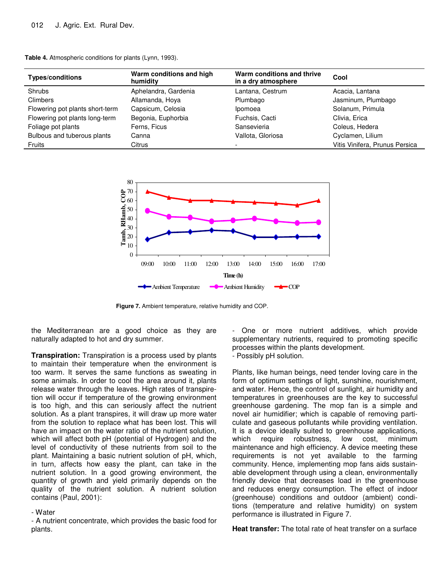| <b>Types/conditions</b>         | Warm conditions and high<br>humidity | Warm conditions and thrive<br>in a dry atmosphere | Cool                           |
|---------------------------------|--------------------------------------|---------------------------------------------------|--------------------------------|
| <b>Shrubs</b>                   | Aphelandra, Gardenia                 | Lantana, Cestrum                                  | Acacia, Lantana                |
| <b>Climbers</b>                 | Allamanda, Hoya                      | Plumbago                                          | Jasminum, Plumbago             |
| Flowering pot plants short-term | Capsicum, Celosia                    | Ipomoea                                           | Solanum, Primula               |
| Flowering pot plants long-term  | Begonia, Euphorbia                   | Fuchsis, Cacti                                    | Clivia, Erica                  |
| Foliage pot plants              | Ferns, Ficus                         | Sansevieria                                       | Coleus, Hedera                 |
| Bulbous and tuberous plants     | Canna                                | Vallota, Gloriosa                                 | Cyclamen, Lilium               |
| Fruits                          | Citrus                               | $\overline{\phantom{0}}$                          | Vitis Vinifera, Prunus Persica |

**Table 4.** Atmospheric conditions for plants (Lynn, 1993).



**Figure 7.** Ambient temperature, relative humidity and COP.

the Mediterranean are a good choice as they are naturally adapted to hot and dry summer.

**Transpiration:** Transpiration is a process used by plants to maintain their temperature when the environment is too warm. It serves the same functions as sweating in some animals. In order to cool the area around it, plants release water through the leaves. High rates of transpiretion will occur if temperature of the growing environment is too high, and this can seriously affect the nutrient solution. As a plant transpires, it will draw up more water from the solution to replace what has been lost. This will have an impact on the water ratio of the nutrient solution, which will affect both pH (potential of Hydrogen) and the level of conductivity of these nutrients from soil to the plant. Maintaining a basic nutrient solution of pH, which, in turn, affects how easy the plant, can take in the nutrient solution. In a good growing environment, the quantity of growth and yield primarily depends on the quality of the nutrient solution. A nutrient solution contains (Paul, 2001):

### - Water

- A nutrient concentrate, which provides the basic food for plants.

- One or more nutrient additives, which provide supplementary nutrients, required to promoting specific processes within the plants development. - Possibly pH solution.

Plants, like human beings, need tender loving care in the form of optimum settings of light, sunshine, nourishment, and water. Hence, the control of sunlight, air humidity and temperatures in greenhouses are the key to successful greenhouse gardening. The mop fan is a simple and novel air humidifier; which is capable of removing particulate and gaseous pollutants while providing ventilation. It is a device ideally suited to greenhouse applications,<br>which require robustness, low cost, minimum which require robustness, low cost, minimum maintenance and high efficiency. A device meeting these requirements is not yet available to the farming community. Hence, implementing mop fans aids sustainable development through using a clean, environmentally friendly device that decreases load in the greenhouse and reduces energy consumption. The effect of indoor (greenhouse) conditions and outdoor (ambient) conditions (temperature and relative humidity) on system performance is illustrated in Figure 7.

**Heat transfer:** The total rate of heat transfer on a surface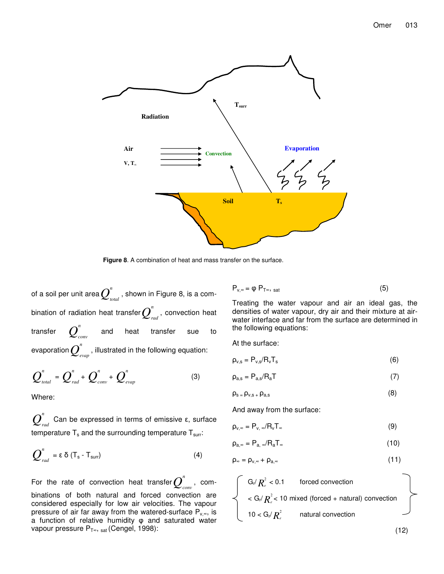

**Figure 8**. A combination of heat and mass transfer on the surface.

of a soil per unit area $\mathcal{Q}_n^{\textit{n}}$ *total* , shown in Figure 8, is a combination of radiation heat transfer $\mathcal{Q}_n^{n}$ *rad* , convection heat transfer *Q n conv* and heat transfer sue to evaporation $\mathcal{Q}^{\scriptscriptstyle n}_{\scriptscriptstyle e}$ *evap* , illustrated in the following equation:

$$
\boldsymbol{Q}_{total}^{n} = \boldsymbol{Q}_{rad}^{n} + \boldsymbol{Q}_{conv}^{n} + \boldsymbol{Q}_{evap}^{n}
$$
 (3)

Where:

 $\overline{\mathcal{Q}}_{n}^{n}$ *rad* Can be expressed in terms of emissive ε, surface temperature  $\mathsf{T}_\mathsf{s}$  and the surrounding temperature  $\mathsf{T}_\mathsf{surr}\mathsf{T}_\mathsf{surr}$ 

$$
\boldsymbol{Q}_{rad}^{n} = \varepsilon \, \boldsymbol{\delta} \, (\mathsf{T}_{\mathrm{s}} - \mathsf{T}_{\mathrm{surf}}) \tag{4}
$$

For the rate of convection heat transfer $\boldsymbol{\mathcal{Q}}^{n}_{\scriptscriptstyle{G}}$ *conv* , combinations of both natural and forced convection are considered especially for low air velocities. The vapour pressure of air far away from the watered-surface  $P_{v,\infty}$ , is a function of relative humidity  $\varphi$  and saturated water vapour pressure  $P_{T^{\infty}$ , sat (Cengel, 1998):

$$
P_{v,\infty} = \varphi \ P_{T^{\infty}, \text{ sat}} \tag{5}
$$

Treating the water vapour and air an ideal gas, the densities of water vapour, dry air and their mixture at airwater interface and far from the surface are determined in the following equations:

At the surface:

$$
\rho_{v,s} = P_{v,s}/R_v T_s \tag{6}
$$

$$
\rho_{a,s} = P_{a,s}/R_a T \tag{7}
$$

 $\rho_{s} = \rho_{v,s} + \rho_{a,s}$  (8)

And away from the surface:

$$
\rho_{v,\infty} = P_{v,\infty}/R_v T_{\infty} \tag{9}
$$

$$
\rho_{a,\infty} = P_{a,\infty}/R_a T_{\infty} \tag{10}
$$

$$
\rho_{\infty} = \rho_{v,\infty} + \rho_{a,\infty} \tag{11}
$$

$$
\left\{\n\begin{array}{c}\nG_r/R_e^2 < 0.1 \quad \text{forced convection} \\
< G_r/R_e^2 < 10 \text{ mixed (forced + natural) convection} \\
10 < G_r/R_e^2 \quad \text{natural convection}\n\end{array}\n\right\}
$$

(12)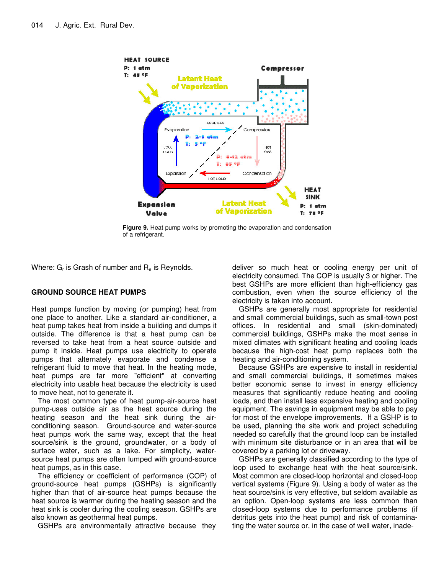

**Figure 9.** Heat pump works by promoting the evaporation and condensation of a refrigerant.

Where:  $\mathrm{G}_\mathrm{r}$  is Grash of number and  $\mathrm{R}_\mathrm{e}$  is Reynolds.

# **GROUND SOURCE HEAT PUMPS**

Heat pumps function by moving (or pumping) heat from one place to another. Like a standard air-conditioner, a heat pump takes heat from inside a building and dumps it outside. The difference is that a heat pump can be reversed to take heat from a heat source outside and pump it inside. Heat pumps use electricity to operate pumps that alternately evaporate and condense a refrigerant fluid to move that heat. In the heating mode, heat pumps are far more "efficient" at converting electricity into usable heat because the electricity is used to move heat, not to generate it.

The most common type of heat pump-air-source heat pump-uses outside air as the heat source during the heating season and the heat sink during the airconditioning season. Ground-source and water-source heat pumps work the same way, except that the heat source/sink is the ground, groundwater, or a body of surface water, such as a lake. For simplicity, watersource heat pumps are often lumped with ground-source heat pumps, as in this case.

The efficiency or coefficient of performance (COP) of ground-source heat pumps (GSHPs) is significantly higher than that of air-source heat pumps because the heat source is warmer during the heating season and the heat sink is cooler during the cooling season. GSHPs are also known as geothermal heat pumps.

GSHPs are environmentally attractive because they

deliver so much heat or cooling energy per unit of electricity consumed. The COP is usually 3 or higher. The best GSHPs are more efficient than high-efficiency gas combustion, even when the source efficiency of the electricity is taken into account.

GSHPs are generally most appropriate for residential and small commercial buildings, such as small-town post offices. In residential and small (skin-dominated) commercial buildings, GSHPs make the most sense in mixed climates with significant heating and cooling loads because the high-cost heat pump replaces both the heating and air-conditioning system.

Because GSHPs are expensive to install in residential and small commercial buildings, it sometimes makes better economic sense to invest in energy efficiency measures that significantly reduce heating and cooling loads, and then install less expensive heating and cooling equipment. The savings in equipment may be able to pay for most of the envelope improvements. If a GSHP is to be used, planning the site work and project scheduling needed so carefully that the ground loop can be installed with minimum site disturbance or in an area that will be covered by a parking lot or driveway.

GSHPs are generally classified according to the type of loop used to exchange heat with the heat source/sink. Most common are closed-loop horizontal and closed-loop vertical systems (Figure 9). Using a body of water as the heat source/sink is very effective, but seldom available as an option. Open-loop systems are less common than closed-loop systems due to performance problems (if detritus gets into the heat pump) and risk of contaminating the water source or, in the case of well water, inade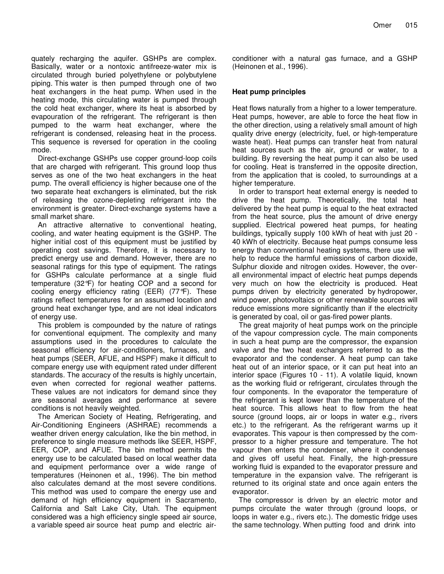quately recharging the aquifer. GSHPs are complex. Basically, water or a nontoxic antifreeze-water mix is circulated through buried polyethylene or polybutylene piping. This water is then pumped through one of two heat exchangers in the heat pump. When used in the heating mode, this circulating water is pumped through the cold heat exchanger, where its heat is absorbed by evapouration of the refrigerant. The refrigerant is then pumped to the warm heat exchanger, where the refrigerant is condensed, releasing heat in the process. This sequence is reversed for operation in the cooling mode.

Direct-exchange GSHPs use copper ground-loop coils that are charged with refrigerant. This ground loop thus serves as one of the two heat exchangers in the heat pump. The overall efficiency is higher because one of the two separate heat exchangers is eliminated, but the risk of releasing the ozone-depleting refrigerant into the environment is greater. Direct-exchange systems have a small market share.

An attractive alternative to conventional heating, cooling, and water heating equipment is the GSHP. The higher initial cost of this equipment must be justified by operating cost savings. Therefore, it is necessary to predict energy use and demand. However, there are no seasonal ratings for this type of equipment. The ratings for GSHPs calculate performance at a single fluid temperature (32°F) for heating COP and a second for cooling energy efficiency rating (EER) (77°F). These ratings reflect temperatures for an assumed location and ground heat exchanger type, and are not ideal indicators of energy use.

This problem is compounded by the nature of ratings for conventional equipment. The complexity and many assumptions used in the procedures to calculate the seasonal efficiency for air-conditioners, furnaces, and heat pumps (SEER, AFUE, and HSPF) make it difficult to compare energy use with equipment rated under different standards. The accuracy of the results is highly uncertain, even when corrected for regional weather patterns. These values are not indicators for demand since they are seasonal averages and performance at severe conditions is not heavily weighted.

The American Society of Heating, Refrigerating, and Air-Conditioning Engineers (ASHRAE) recommends a weather driven energy calculation, like the bin method, in preference to single measure methods like SEER, HSPF, EER, COP, and AFUE. The bin method permits the energy use to be calculated based on local weather data and equipment performance over a wide range of temperatures (Heinonen et al., 1996). The bin method also calculates demand at the most severe conditions. This method was used to compare the energy use and demand of high efficiency equipment in Sacramento, California and Salt Lake City, Utah. The equipment considered was a high efficiency single speed air source, a variable speed air source heat pump and electric airconditioner with a natural gas furnace, and a GSHP (Heinonen et al., 1996).

### **Heat pump principles**

Heat flows naturally from a higher to a lower temperature. Heat pumps, however, are able to force the heat flow in the other direction, using a relatively small amount of high quality drive energy (electricity, fuel, or high-temperature waste heat). Heat pumps can transfer heat from natural heat sources such as the air, ground or water, to a building. By reversing the heat pump it can also be used for cooling. Heat is transferred in the opposite direction, from the application that is cooled, to surroundings at a higher temperature.

In order to transport heat external energy is needed to drive the heat pump. Theoretically, the total heat delivered by the heat pump is equal to the heat extracted from the heat source, plus the amount of drive energy supplied. Electrical powered heat pumps, for heating buildings, typically supply 100 kWh of heat with just 20 - 40 kWh of electricity. Because heat pumps consume less energy than conventional heating systems, there use will help to reduce the harmful emissions of carbon dioxide, Sulphur dioxide and nitrogen oxides. However, the overall environmental impact of electric heat pumps depends very much on how the electricity is produced. Heat pumps driven by electricity generated by hydropower, wind power, photovoltaics or other renewable sources will reduce emissions more significantly than if the electricity is generated by coal, oil or gas-fired power plants.

The great majority of heat pumps work on the principle of the vapour compression cycle. The main components in such a heat pump are the compressor, the expansion valve and the two heat exchangers referred to as the evaporator and the condenser. A heat pump can take heat out of an interior space, or it can put heat into an interior space (Figures 10 - 11). A volatile liquid, known as the working fluid or refrigerant, circulates through the four components. In the evaporator the temperature of the refrigerant is kept lower than the temperature of the heat source. This allows heat to flow from the heat source (ground loops, air or loops in water e.g., rivers etc.) to the refrigerant. As the refrigerant warms up it evaporates. This vapour is then compressed by the compressor to a higher pressure and temperature. The hot vapour then enters the condenser, where it condenses and gives off useful heat. Finally, the high-pressure working fluid is expanded to the evaporator pressure and temperature in the expansion valve. The refrigerant is returned to its original state and once again enters the evaporator.

The compressor is driven by an electric motor and pumps circulate the water through (ground loops, or loops in water e.g., rivers etc.). The domestic fridge uses the same technology. When putting food and drink into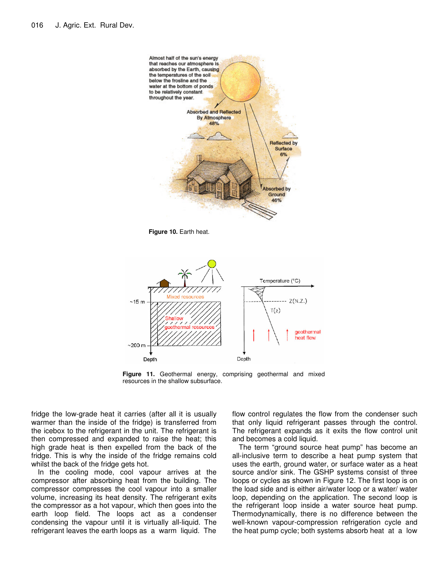

**Figure 10.** Earth heat.



**Figure 11.** Geothermal energy, comprising geothermal and mixed resources in the shallow subsurface.

fridge the low-grade heat it carries (after all it is usually warmer than the inside of the fridge) is transferred from the icebox to the refrigerant in the unit. The refrigerant is then compressed and expanded to raise the heat; this high grade heat is then expelled from the back of the fridge. This is why the inside of the fridge remains cold whilst the back of the fridge gets hot.

In the cooling mode, cool vapour arrives at the compressor after absorbing heat from the building. The compressor compresses the cool vapour into a smaller volume, increasing its heat density. The refrigerant exits the compressor as a hot vapour, which then goes into the earth loop field. The loops act as a condenser condensing the vapour until it is virtually all-liquid. The refrigerant leaves the earth loops as a warm liquid. The flow control regulates the flow from the condenser such that only liquid refrigerant passes through the control. The refrigerant expands as it exits the flow control unit and becomes a cold liquid.

The term "ground source heat pump" has become an all-inclusive term to describe a heat pump system that uses the earth, ground water, or surface water as a heat source and/or sink. The GSHP systems consist of three loops or cycles as shown in Figure 12. The first loop is on the load side and is either air/water loop or a water/ water loop, depending on the application. The second loop is the refrigerant loop inside a water source heat pump. Thermodynamically, there is no difference between the well-known vapour-compression refrigeration cycle and the heat pump cycle; both systems absorb heat at a low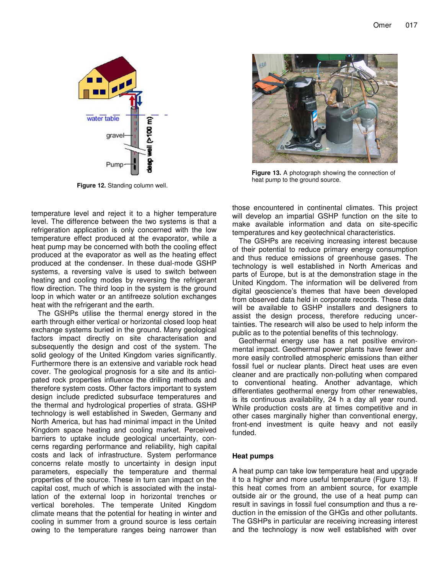

**Figure 12.** Standing column well.

temperature level and reject it to a higher temperature level. The difference between the two systems is that a refrigeration application is only concerned with the low temperature effect produced at the evaporator, while a heat pump may be concerned with both the cooling effect produced at the evaporator as well as the heating effect produced at the condenser. In these dual-mode GSHP systems, a reversing valve is used to switch between heating and cooling modes by reversing the refrigerant flow direction. The third loop in the system is the ground loop in which water or an antifreeze solution exchanges heat with the refrigerant and the earth.

The GSHPs utilise the thermal energy stored in the earth through either vertical or horizontal closed loop heat exchange systems buried in the ground. Many geological factors impact directly on site characterisation and subsequently the design and cost of the system. The solid geology of the United Kingdom varies significantly. Furthermore there is an extensive and variable rock head cover. The geological prognosis for a site and its anticipated rock properties influence the drilling methods and therefore system costs. Other factors important to system design include predicted subsurface temperatures and the thermal and hydrological properties of strata. GSHP technology is well established in Sweden, Germany and North America, but has had minimal impact in the United Kingdom space heating and cooling market. Perceived barriers to uptake include geological uncertainty, concerns regarding performance and reliability, high capital costs and lack of infrastructure. System performance concerns relate mostly to uncertainty in design input parameters, especially the temperature and thermal properties of the source. These in turn can impact on the capital cost, much of which is associated with the installation of the external loop in horizontal trenches or vertical boreholes. The temperate United Kingdom climate means that the potential for heating in winter and cooling in summer from a ground source is less certain owing to the temperature ranges being narrower than



**Figure 13.** A photograph showing the connection of heat pump to the ground source.

those encountered in continental climates. This project will develop an impartial GSHP function on the site to make available information and data on site-specific temperatures and key geotechnical characteristics.

The GSHPs are receiving increasing interest because of their potential to reduce primary energy consumption and thus reduce emissions of greenhouse gases. The technology is well established in North Americas and parts of Europe, but is at the demonstration stage in the United Kingdom. The information will be delivered from digital geoscience's themes that have been developed from observed data held in corporate records. These data will be available to GSHP installers and designers to assist the design process, therefore reducing uncertainties. The research will also be used to help inform the public as to the potential benefits of this technology.

Geothermal energy use has a net positive environmental impact. Geothermal power plants have fewer and more easily controlled atmospheric emissions than either fossil fuel or nuclear plants. Direct heat uses are even cleaner and are practically non-polluting when compared to conventional heating. Another advantage, which differentiates geothermal energy from other renewables, is its continuous availability, 24 h a day all year round. While production costs are at times competitive and in other cases marginally higher than conventional energy, front-end investment is quite heavy and not easily funded.

# **Heat pumps**

A heat pump can take low temperature heat and upgrade it to a higher and more useful temperature (Figure 13). If this heat comes from an ambient source, for example outside air or the ground, the use of a heat pump can result in savings in fossil fuel consumption and thus a reduction in the emission of the GHGs and other pollutants. The GSHPs in particular are receiving increasing interest and the technology is now well established with over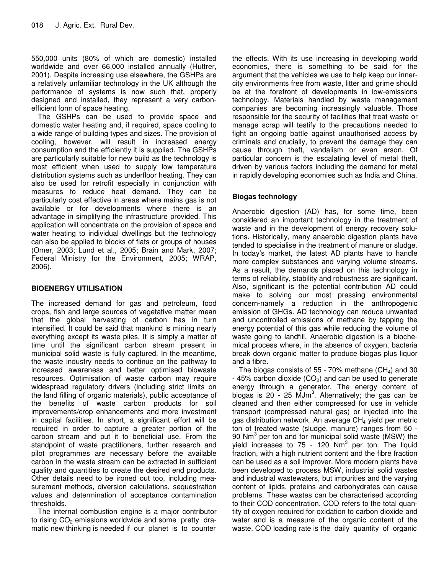550,000 units (80% of which are domestic) installed worldwide and over 66,000 installed annually (Huttrer, 2001). Despite increasing use elsewhere, the GSHPs are a relatively unfamiliar technology in the UK although the performance of systems is now such that, properly designed and installed, they represent a very carbonefficient form of space heating.

The GSHPs can be used to provide space and domestic water heating and, if required, space cooling to a wide range of building types and sizes. The provision of cooling, however, will result in increased energy consumption and the efficiently it is supplied. The GSHPs are particularly suitable for new build as the technology is most efficient when used to supply low temperature distribution systems such as underfloor heating. They can also be used for retrofit especially in conjunction with measures to reduce heat demand. They can be particularly cost effective in areas where mains gas is not available or for developments where there is an advantage in simplifying the infrastructure provided. This application will concentrate on the provision of space and water heating to individual dwellings but the technology can also be applied to blocks of flats or groups of houses (Omer, 2003; Lund et al., 2005; Brain and Mark, 2007; Federal Ministry for the Environment, 2005; WRAP, 2006).

# **BIOENERGY UTILISATION**

The increased demand for gas and petroleum, food crops, fish and large sources of vegetative matter mean that the global harvesting of carbon has in turn intensified. It could be said that mankind is mining nearly everything except its waste piles. It is simply a matter of time until the significant carbon stream present in municipal solid waste is fully captured. In the meantime, the waste industry needs to continue on the pathway to increased awareness and better optimised biowaste resources. Optimisation of waste carbon may require widespread regulatory drivers (including strict limits on the land filling of organic materials), public acceptance of the benefits of waste carbon products for soil improvements/crop enhancements and more investment in capital facilities. In short, a significant effort will be required in order to capture a greater portion of the carbon stream and put it to beneficial use. From the standpoint of waste practitioners, further research and pilot programmes are necessary before the available carbon in the waste stream can be extracted in sufficient quality and quantities to create the desired end products. Other details need to be ironed out too, including measurement methods, diversion calculations, sequestration values and determination of acceptance contamination thresholds.

The internal combustion engine is a major contributor to rising  $CO<sub>2</sub>$  emissions worldwide and some pretty dramatic new thinking is needed if our planet is to counter the effects. With its use increasing in developing world economies, there is something to be said for the argument that the vehicles we use to help keep our innercity environments free from waste, litter and grime should be at the forefront of developments in low-emissions technology. Materials handled by waste management companies are becoming increasingly valuable. Those responsible for the security of facilities that treat waste or manage scrap will testify to the precautions needed to fight an ongoing battle against unauthorised access by criminals and crucially, to prevent the damage they can cause through theft, vandalism or even arson. Of particular concern is the escalating level of metal theft, driven by various factors including the demand for metal in rapidly developing economies such as India and China.

# **Biogas technology**

Anaerobic digestion (AD) has, for some time, been considered an important technology in the treatment of waste and in the development of energy recovery solutions. Historically, many anaerobic digestion plants have tended to specialise in the treatment of manure or sludge. In today's market, the latest AD plants have to handle more complex substances and varying volume streams. As a result, the demands placed on this technology in terms of reliability, stability and robustness are significant. Also, significant is the potential contribution AD could make to solving our most pressing environmental concern-namely a reduction in the anthropogenic emission of GHGs. AD technology can reduce unwanted and uncontrolled emissions of methane by tapping the energy potential of this gas while reducing the volume of waste going to landfill. Anaerobic digestion is a biochemical process where, in the absence of oxygen, bacteria break down organic matter to produce biogas plus liquor and a fibre.

The biogas consists of 55 - 70% methane  $(CH_4)$  and 30  $-$  45% carbon dioxide (CO<sub>2</sub>) and can be used to generate energy through a generator. The energy content of biogas is 20 - 25 MJm<sup>3</sup>. Alternatively; the gas can be cleaned and then either compressed for use in vehicle transport (compressed natural gas) or injected into the gas distribution network. An average  $CH<sub>4</sub>$  yield per metric ton of treated waste (sludge, manure) ranges from 50 - 90 Nm $^3$  per ton and for municipal solid waste (MSW) the yield increases to 75 - 120 Nm<sup>3</sup> per ton. The liquid fraction, with a high nutrient content and the fibre fraction can be used as a soil improver. More modern plants have been developed to process MSW, industrial solid wastes and industrial wastewaters, but impurities and the varying content of lipids, proteins and carbohydrates can cause problems. These wastes can be characterised according to their COD concentration. COD refers to the total quantity of oxygen required for oxidation to carbon dioxide and water and is a measure of the organic content of the waste. COD loading rate is the daily quantity of organic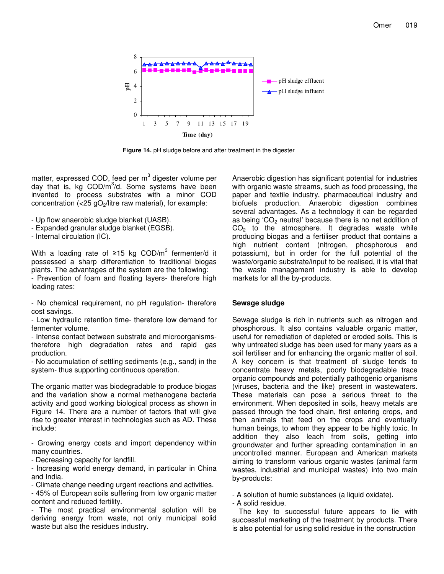

**Figure 14.** pH sludge before and after treatment in the digester

matter, expressed COD, feed per m<sup>3</sup> digester volume per day that is, kg COD/m<sup>3</sup>/d. Some systems have been invented to process substrates with a minor COD concentration  $\langle$  <25 gO<sub>2</sub>/litre raw material), for example:

- Up flow anaerobic sludge blanket (UASB).

- Expanded granular sludge blanket (EGSB).
- Internal circulation (IC).

With a loading rate of  $\geq$ 15 kg COD/m<sup>3</sup> fermenter/d it possessed a sharp differentiation to traditional biogas plants. The advantages of the system are the following:

- Prevention of foam and floating layers- therefore high loading rates:

- No chemical requirement, no pH regulation- therefore cost savings.

- Low hydraulic retention time- therefore low demand for fermenter volume.

- Intense contact between substrate and microorganismstherefore high degradation rates and rapid gas production.

- No accumulation of settling sediments (e.g., sand) in the system- thus supporting continuous operation.

The organic matter was biodegradable to produce biogas and the variation show a normal methanogene bacteria activity and good working biological process as shown in Figure 14. There are a number of factors that will give rise to greater interest in technologies such as AD. These include:

- Growing energy costs and import dependency within many countries.

- Decreasing capacity for landfill.

- Increasing world energy demand, in particular in China and India.

- Climate change needing urgent reactions and activities.

- 45% of European soils suffering from low organic matter content and reduced fertility.

- The most practical environmental solution will be deriving energy from waste, not only municipal solid waste but also the residues industry.

Anaerobic digestion has significant potential for industries with organic waste streams, such as food processing, the paper and textile industry, pharmaceutical industry and biofuels production. Anaerobic digestion combines several advantages. As a technology it can be regarded as being 'CO<sub>2</sub> neutral' because there is no net addition of  $CO<sub>2</sub>$  to the atmosphere. It degrades waste while producing biogas and a fertiliser product that contains a high nutrient content (nitrogen, phosphorous and potassium), but in order for the full potential of the waste/organic substrate/input to be realised, it is vital that the waste management industry is able to develop markets for all the by-products.

# **Sewage sludge**

Sewage sludge is rich in nutrients such as nitrogen and phosphorous. It also contains valuable organic matter, useful for remediation of depleted or eroded soils. This is why untreated sludge has been used for many years as a soil fertiliser and for enhancing the organic matter of soil. A key concern is that treatment of sludge tends to concentrate heavy metals, poorly biodegradable trace organic compounds and potentially pathogenic organisms (viruses, bacteria and the like) present in wastewaters. These materials can pose a serious threat to the environment. When deposited in soils, heavy metals are passed through the food chain, first entering crops, and then animals that feed on the crops and eventually human beings, to whom they appear to be highly toxic. In addition they also leach from soils, getting into groundwater and further spreading contamination in an uncontrolled manner. European and American markets aiming to transform various organic wastes (animal farm wastes, industrial and municipal wastes) into two main by-products:

- A solution of humic substances (a liquid oxidate).
- A solid residue.

The key to successful future appears to lie with successful marketing of the treatment by products. There is also potential for using solid residue in the construction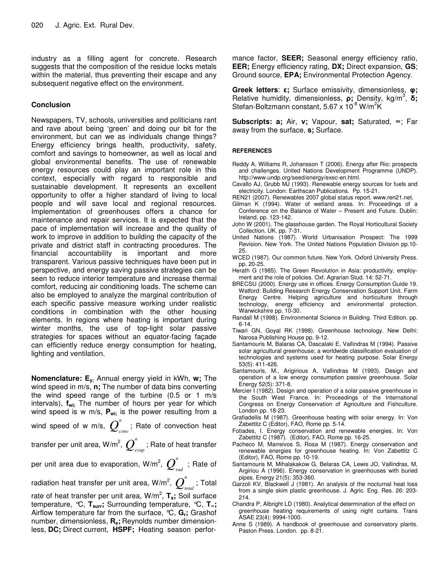industry as a filling agent for concrete. Research suggests that the composition of the residue locks metals within the material, thus preventing their escape and any subsequent negative effect on the environment.

### **Conclusion**

Newspapers, TV, schools, universities and politicians rant and rave about being 'green' and doing our bit for the environment, but can we as individuals change things? Energy efficiency brings health, productivity, safety, comfort and savings to homeowner, as well as local and global environmental benefits. The use of renewable energy resources could play an important role in this context, especially with regard to responsible and sustainable development. It represents an excellent opportunity to offer a higher standard of living to local people and will save local and regional resources. Implementation of greenhouses offers a chance for maintenance and repair services. It is expected that the pace of implementation will increase and the quality of work to improve in addition to building the capacity of the private and district staff in contracting procedures. The financial accountability is important and more transparent. Various passive techniques have been put in perspective, and energy saving passive strategies can be seen to reduce interior temperature and increase thermal comfort, reducing air conditioning loads. The scheme can also be employed to analyze the marginal contribution of each specific passive measure working under realistic conditions in combination with the other housing elements. In regions where heating is important during winter months, the use of top-light solar passive strategies for spaces without an equator-facing façade can efficiently reduce energy consumption for heating, lighting and ventilation.

**Nomenclature: Ey;** Annual energy yield in kWh, **w;** The wind speed in m/s, **n;** The number of data bins converting the wind speed range of the turbine (0.5 or 1 m/s intervals), **fwi;** The number of hours per year for which wind speed is w m/s, **Pwi;** is the power resulting from a wind speed of w m/s,  $\boldsymbol{Q}_{c}^{n}$ *conv* ; Rate of convection heat transfer per unit area, W/m<sup>2</sup>,  $\boldsymbol{\mathcal{Q}}^{n}_{e}$ *evap* ; Rate of heat transfer per unit area due to evaporation, W/m<sup>2</sup>,  $\boldsymbol{Q}_{n}^{n}$ *rad* ; Rate of radiation heat transfer per unit area, W/m<sup>2</sup>,  $\boldsymbol{\mathcal{Q}}^{n}_{n}$ *total* ; Total

rate of heat transfer per unit area, W/m 2 , **Ts;** Soil surface temperature, °C, **Tsurr;** Surrounding temperature, °C, **T;** Airflow temperature far from the surface, °C, **Gr;** Grashof number, dimensionless, **Re;** Reynolds number dimensionless, **DC;** Direct current, **HSPF;** Heating season performance factor, **SEER;** Seasonal energy efficiency ratio, **EER;** Energy efficiency rating, **DX;** Direct expansion, **GS**; Ground source, **EPA;** Environmental Protection Agency.

**Greek letters: ε;** Surface emissivity, dimensionless, **φ;** Relative humidity, dimensionless, **p**; Density, kg/m<sup>3</sup>, **δ**; Stefan-Boltzmann constant, 5.67 x 10<sup>-8</sup> W/m<sup>2</sup>K

**Subscripts: a;** Air, **v;** Vapour, sat; Saturated,  $\infty$ ; Far away from the surface, **s;** Surface.

### **REFERENCES**

- Reddy A, Williams R, Johansson T (2006). Energy after Rio: prospects and challenges. United Nations Development Programme (UNDP). http://www.undp.org/seed/energy/exec-en.html.
- Cavallo AJ, Grubb MJ (1993). Renewable energy sources for fuels and electricity. London: Earthscan Publications. Pp. 15-21.
- REN21 (2007). Renewables 2007 global status report. www.ren21.net.
- Gilman K (1994). Water of wetland areas. In: Proceedings of a Conference on the Balance of Water - Present and Future. Dublin: Ireland, pp. 123-142.
- John W (2001). The glasshouse garden. The Royal Horticultural Society Collection. UK. pp. 7-31.
- United Nations (1987). World Urbanisation Prospect: The 1999 Revision. New York. The United Nations Population Division pp.10- 25.
- WCED (1987). Our common future. New York. Oxford University Press. pp. 20-25.
- Herath G (1985). The Green Revolution in Asia: productivity, employment and the role of policies. Oxf. Agrarian Stud. 14: 52-71.
- BRECSU (2000). Energy use in offices. Energy Consumption Guide 19. Watford: Building Research Energy Conservation Support Unit. Farm Energy Centre. Helping agriculture and horticulture through technology, energy efficiency and environmental protection. Warwickshire pp. 10-30.
- Randall M (1998). Environmental Science in Building. Third Edition. pp. 6-14.
- Tiwari GN, Goyal RK (1998). Greenhouse technology. New Delhi: Narosa Publishing House pp. 9-12.
- Santamouris M, Balaras CA, Dascalaki E, Vallindras M (1994). Passive solar agricultural greenhouse; a worldwide classification evaluation of technologies and systems used for heating purpose. Solar Energy 53(5): 411-426.
- Santamouris, M., Arigirious A, Vallindras M (1993). Design and operation of a low energy consumption passive greenhouse. Solar Energy 52(5): 371-8.
- Mercier I (1982). Design and operation of a solar passive greenhouse in the South West France. In: Proceedings of the International Congress on Energy Conservation of Agriculture and Fishculture. London pp. 18-23.
- Grafiadellis M (1987). Greenhouse heating with solar energy. In: Von Zabettitz C (Editor), FAO, Rome pp. 5-14.
- Fotiades, I. Energy conservation and renewable energies. In: Von Zabettitz C (1987). (Editor), FAO, Rome pp. 16-25.
- Pacheco M, Marreivos S, Rosa M (1987). Energy conservation and renewable energies for greenhouse heating. In: Von Zabettitz C (Editor), FAO, Rome pp. 10-19.
- Santamouris M, Mihalakakow G, Belaras CA, Lewis JO, Vallindras, M, Argiriou A (1996). Energy conservation in greenhouses with buried pipes. Energy 21(5): 353-360.
- Garzoli KV, Blackwell J (1981). An analysis of the nocturnal heat loss from a single skim plastic greenhouse. J. Agric. Eng. Res. 26: 203- 214.
- Chandra P, Albright LD (1980). Analytical determination of the effect on greenhouse heating requirements of using night curtains. Trans ASAE 23(4): 9994-1000.
- Anne S (1989). A handbook of greenhouse and conservatory plants. Paston Press. London. pp. 8-21.